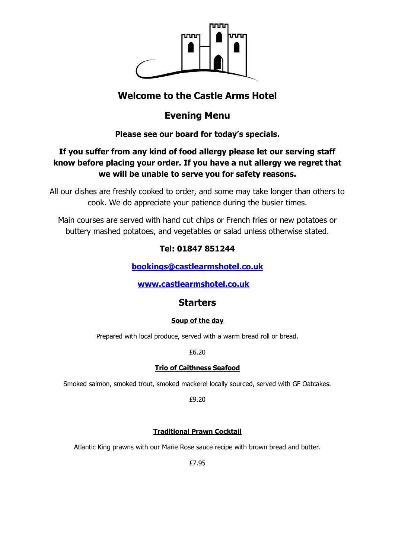

# **Welcome to the Castle Arms Hotel**

# **Evening Menu**

## **Please see our board for today's specials.**

# **If you suffer from any kind of food allergy please let our serving staff know before placing your order. If you have a nut allergy we regret that we will be unable to serve you for safety reasons.**

All our dishes are freshly cooked to order, and some may take longer than others to cook. We do appreciate your patience during the busier times.

Main courses are served with hand cut chips or French fries or new potatoes or buttery mashed potatoes, and vegetables or salad unless otherwise stated.

# **Tel: 01847 851244**

**[bookings@castlearmshotel.co.uk](mailto:bookings@castlearmshotel.co.uk)**

## **[www.castlearmshotel.co.uk](http://www.castlearmshotel.co.uk/)**

## **Starters**

### **Soup of the day**

Prepared with local produce, served with a warm bread roll or bread.

£6.20

### **Trio of Caithness Seafood**

Smoked salmon, smoked trout, smoked mackerel locally sourced, served with GF Oatcakes.

£9.20

### **Traditional Prawn Cocktail**

Atlantic King prawns with our Marie Rose sauce recipe with brown bread and butter.

£7.95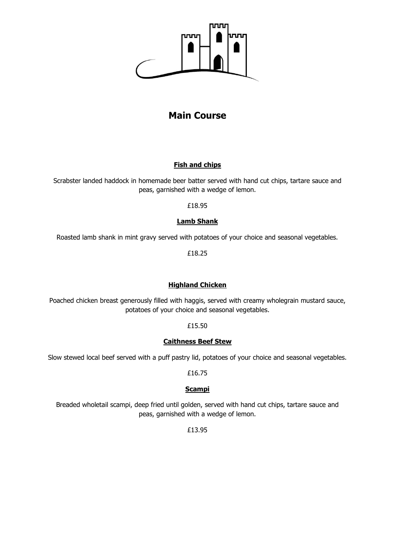

# **Main Course**

#### **Fish and chips**

Scrabster landed haddock in homemade beer batter served with hand cut chips, tartare sauce and peas, garnished with a wedge of lemon.

£18.95

### **Lamb Shank**

Roasted lamb shank in mint gravy served with potatoes of your choice and seasonal vegetables.

£18.25

### **Highland Chicken**

Poached chicken breast generously filled with haggis, served with creamy wholegrain mustard sauce, potatoes of your choice and seasonal vegetables.

£15.50

#### **Caithness Beef Stew**

Slow stewed local beef served with a puff pastry lid, potatoes of your choice and seasonal vegetables.

£16.75

#### **Scampi**

Breaded wholetail scampi, deep fried until golden, served with hand cut chips, tartare sauce and peas, garnished with a wedge of lemon.

£13.95